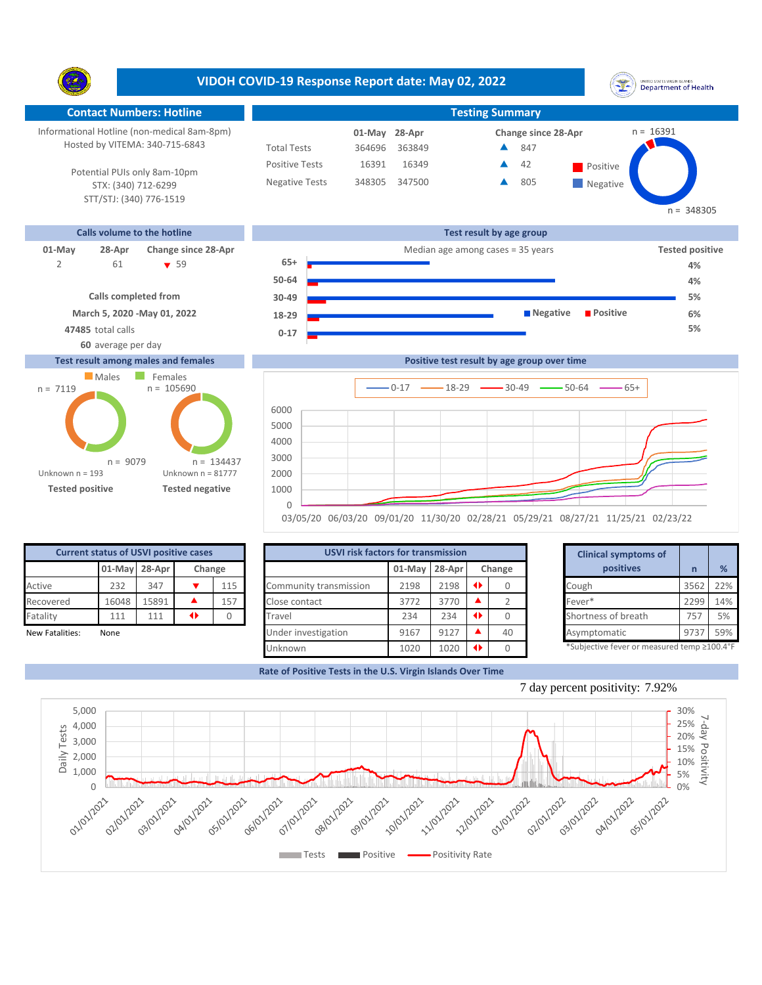**VIDOH COVID-19 Response Report date: May 02, 2022** UNITED STATES VIRGIN SLANDS<br>Department of Health Y. **Contact Numbers: Hotline Testing Summary** Informational Hotline (non-medical 8am-8pm) n = 16391 **28-Apr 01-May Change since 28-Apr** Hosted by VITEMA: 340-715-6843 Total Tests 364696 363849 847 ▲ Positive Tests 16391 16349 **42 Positive**  $\blacktriangle$ 42 Potential PUIs only 8am-10pm Negative Tests 348305 347500 805 ▲ **Negative** STX: (340) 712-6299 STT/STJ: (340) 776-1519  $n = 348305$ **Calls volume to the hotline Test result by age group 01-May 28-Apr Change since 28-Apr Change since 28-Apr Change and Apple 28-Apr Change and Apple 28-Apr Tested positive** 61 59 **65+** 2 **61** ▼ 59 **65+ Present and a** 4% **50-64 Calls completed from 30-49 March 5, 2020 -May 01, 2022 18-29**



## **60** average per day **Test result among males and females**



|                              | $50 - 64$ |            |                       |
|------------------------------|-----------|------------|-----------------------|
|                              |           |            | 4%                    |
| Calls completed from         | $30 - 49$ |            | 5%                    |
|                              |           |            |                       |
| March 5, 2020 - May 01, 2022 | 18-29     | ■ Negative | <b>Positive</b><br>6% |
| 47485 total calls            |           |            | 5%                    |
|                              | $0 - 17$  |            |                       |
| 60 average per day           |           |            |                       |

**Positive test result by age group over time**



03/05/20 06/03/20 09/01/20 11/30/20 02/28/21 05/29/21 08/27/21 11/25/21 02/23/22

| <b>Current status of USVI positive cases</b> |                         |       |  |     |  |  |  |  |  |
|----------------------------------------------|-------------------------|-------|--|-----|--|--|--|--|--|
|                                              | 01-May 28-Apr<br>Change |       |  |     |  |  |  |  |  |
| Active                                       | 232                     | 347   |  | 115 |  |  |  |  |  |
| Recovered                                    | 16048                   | 15891 |  | 157 |  |  |  |  |  |
| Fatality                                     | 111                     | 111   |  |     |  |  |  |  |  |
| Marcelland Catalogue<br>$N = -1$             |                         |       |  |     |  |  |  |  |  |

| <b>Current status of USVI positive cases</b> |       |               |   |        | <b>USVI risk factors for transmission</b> |               |      |  |        |  |                                            |         |     |
|----------------------------------------------|-------|---------------|---|--------|-------------------------------------------|---------------|------|--|--------|--|--------------------------------------------|---------|-----|
|                                              |       | 01-May 28-Apr |   | Change |                                           | 01-May 28-Apr |      |  | Change |  | positives                                  |         | %   |
| Active                                       | 232   | 347           |   | 115    | Community transmission                    | 2198          | 2198 |  |        |  | Cough                                      | 3562    | 22% |
| Recovered                                    | 16048 | 15891         |   | 157    | Close contact                             | 3772          | 3770 |  |        |  | Fever*                                     | 2299    | 14% |
| Fatality                                     | 111   | 111           | ◆ |        | Travel                                    | 234           | 234  |  |        |  | Shortness of breath                        | 757     | 5%  |
| New Fatalities:                              | None  |               |   |        | Under investigation                       | 9167          | 9127 |  | 40     |  | Asymptomatic                               | $973 -$ | 59% |
|                                              |       |               |   |        | Unknown                                   | 1020          | 1020 |  |        |  | *Subjective fever or measured temp ≥100.4° |         |     |

|        | for transmission |     |        | <b>Clinical symptoms of</b>                                |      |     |
|--------|------------------|-----|--------|------------------------------------------------------------|------|-----|
| 01-May | 28-Apr           |     | Change | positives                                                  | n    | %   |
| 2198   | 2198             | 0   |        | Cough                                                      | 3562 | 22% |
| 3772   | 3770             |     |        | Fever*                                                     | 2299 | 14% |
| 234    | 234              | 0   |        | Shortness of breath                                        | 757  | 5%  |
| 9167   | 9127             |     | 40     | Asymptomatic                                               | 9737 | 59% |
| 1020   | 1022             | 48. | $\sim$ | $*$ Cubinctive fover ar measured temp $>100$ $1^{\circ}$ E |      |     |